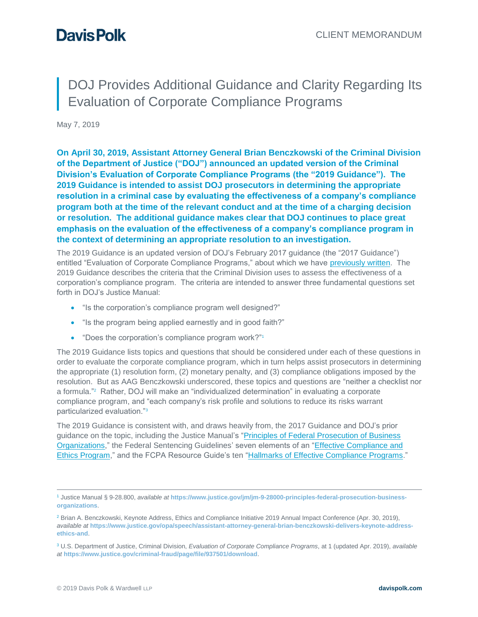# DOJ Provides Additional Guidance and Clarity Regarding Its Evaluation of Corporate Compliance Programs

May 7, 2019

**On April 30, 2019, Assistant Attorney General Brian Benczkowski of the Criminal Division of the Department of Justice ("DOJ") announced an updated version of the Criminal Division's Evaluation of Corporate Compliance Programs (the "2019 Guidance"). The 2019 Guidance is intended to assist DOJ prosecutors in determining the appropriate resolution in a criminal case by evaluating the effectiveness of a company's compliance program both at the time of the relevant conduct and at the time of a charging decision or resolution. The additional guidance makes clear that DOJ continues to place great emphasis on the evaluation of the effectiveness of a company's compliance program in the context of determining an appropriate resolution to an investigation.**

The 2019 Guidance is an updated version of DOJ's February 2017 guidance (the "2017 Guidance") entitled "Evaluation of Corporate Compliance Programs," about which we have [previously written.](https://alerts.davispolk.com/10/2833/uploads/2017-03-06-new-doj-guide-evaluation-corporate-compliance-programs.pdf) The 2019 Guidance describes the criteria that the Criminal Division uses to assess the effectiveness of a corporation's compliance program. The criteria are intended to answer three fundamental questions set forth in DOJ's Justice Manual:

- "Is the corporation's compliance program well designed?"
- "Is the program being applied earnestly and in good faith?"
- "Does the corporation's compliance program work?"<sup>1</sup>

The 2019 Guidance lists topics and questions that should be considered under each of these questions in order to evaluate the corporate compliance program, which in turn helps assist prosecutors in determining the appropriate (1) resolution form, (2) monetary penalty, and (3) compliance obligations imposed by the resolution. But as AAG Benczkowski underscored, these topics and questions are "neither a checklist nor a formula." 2 Rather, DOJ will make an "individualized determination" in evaluating a corporate compliance program, and "each company's risk profile and solutions to reduce its risks warrant particularized evaluation."<sup>3</sup>

The 2019 Guidance is consistent with, and draws heavily from, the 2017 Guidance and DOJ's prior guidance on the topic, including the Justice Manual's ["Principles of Federal Prosecution of Business](https://www.justice.gov/jm/jm-9-28000-principles-federal-prosecution-business-organizations)  [Organizations,](https://www.justice.gov/jm/jm-9-28000-principles-federal-prosecution-business-organizations)" the Federal Sentencing Guidelines' seven elements of an ["Effective Compliance and](https://www.ussc.gov/guidelines/2018-guidelines-manual/2018-chapter-8#NaN)  [Ethics Program,](https://www.ussc.gov/guidelines/2018-guidelines-manual/2018-chapter-8#NaN)" and the FCPA Resource Guide's ten ["Hallmarks of Effective Compliance Programs.](https://www.justice.gov/sites/default/files/criminal-fraud/legacy/2015/01/16/guide.pdf)"

<sup>1</sup> Justice Manual § 9-28.800, *available at* **[https://www.justice.gov/jm/jm-9-28000-principles-federal-prosecution-business](https://www.justice.gov/jm/jm-9-28000-principles-federal-prosecution-business-organizations)[organizations](https://www.justice.gov/jm/jm-9-28000-principles-federal-prosecution-business-organizations)**.

<sup>&</sup>lt;sup>2</sup> Brian A. Benczkowski, Keynote Address, Ethics and Compliance Initiative 2019 Annual Impact Conference (Apr. 30, 2019), *available at* **[https://www.justice.gov/opa/speech/assistant-attorney-general-brian-benczkowski-delivers-keynote-address](https://www.justice.gov/opa/speech/assistant-attorney-general-brian-benczkowski-delivers-keynote-address-ethics-and)[ethics-and](https://www.justice.gov/opa/speech/assistant-attorney-general-brian-benczkowski-delivers-keynote-address-ethics-and)**.

<sup>3</sup> U.S. Department of Justice, Criminal Division, *Evaluation of Corporate Compliance Programs*, at 1 (updated Apr. 2019), *available at* **<https://www.justice.gov/criminal-fraud/page/file/937501/download>**.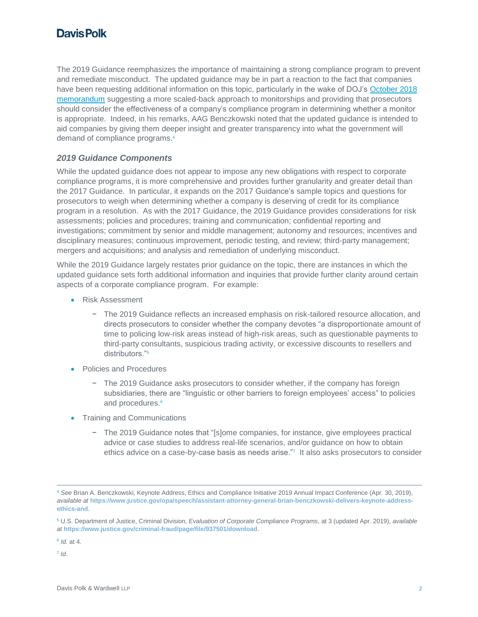## **Davis Polk**

The 2019 Guidance reemphasizes the importance of maintaining a strong compliance program to prevent and remediate misconduct. The updated guidance may be in part a reaction to the fact that companies have been requesting additional information on this topic, particularly in the wake of DOJ's October 2018 [memorandum](https://www.justice.gov/criminal-fraud/file/1100366/download) suggesting a more scaled-back approach to monitorships and providing that prosecutors should consider the effectiveness of a company's compliance program in determining whether a monitor is appropriate. Indeed, in his remarks, AAG Benczkowski noted that the updated guidance is intended to aid companies by giving them deeper insight and greater transparency into what the government will demand of compliance programs.<sup>4</sup>

#### *2019 Guidance Components*

While the updated guidance does not appear to impose any new obligations with respect to corporate compliance programs, it is more comprehensive and provides further granularity and greater detail than the 2017 Guidance. In particular, it expands on the 2017 Guidance's sample topics and questions for prosecutors to weigh when determining whether a company is deserving of credit for its compliance program in a resolution. As with the 2017 Guidance, the 2019 Guidance provides considerations for risk assessments; policies and procedures; training and communication; confidential reporting and investigations; commitment by senior and middle management; autonomy and resources; incentives and disciplinary measures; continuous improvement, periodic testing, and review; third-party management; mergers and acquisitions; and analysis and remediation of underlying misconduct.

While the 2019 Guidance largely restates prior guidance on the topic, there are instances in which the updated guidance sets forth additional information and inquiries that provide further clarity around certain aspects of a corporate compliance program. For example:

- Risk Assessment
	- − The 2019 Guidance reflects an increased emphasis on risk-tailored resource allocation, and directs prosecutors to consider whether the company devotes "a disproportionate amount of time to policing low-risk areas instead of high-risk areas, such as questionable payments to third-party consultants, suspicious trading activity, or excessive discounts to resellers and distributors."<sup>5</sup>
- Policies and Procedures
	- − The 2019 Guidance asks prosecutors to consider whether, if the company has foreign subsidiaries, there are "linguistic or other barriers to foreign employees' access" to policies and procedures.<sup>6</sup>
- Training and Communications
	- − The 2019 Guidance notes that "[s]ome companies, for instance, give employees practical advice or case studies to address real-life scenarios, and/or guidance on how to obtain ethics advice on a case-by-case basis as needs arise."<sup>7</sup> It also asks prosecutors to consider

7 *Id*.

<sup>4</sup> *See* Brian A. Benczkowski, Keynote Address, Ethics and Compliance Initiative 2019 Annual Impact Conference (Apr. 30, 2019), *available at* **[https://www.justice.gov/opa/speech/assistant-attorney-general-brian-benczkowski-delivers-keynote-address](https://www.justice.gov/opa/speech/assistant-attorney-general-brian-benczkowski-delivers-keynote-address-ethics-and)[ethics-and](https://www.justice.gov/opa/speech/assistant-attorney-general-brian-benczkowski-delivers-keynote-address-ethics-and)**.

<sup>5</sup> U.S. Department of Justice, Criminal Division, *Evaluation of Corporate Compliance Programs*, at 3 (updated Apr. 2019), *available at* **<https://www.justice.gov/criminal-fraud/page/file/937501/download>**.

<sup>6</sup> *Id.* at 4.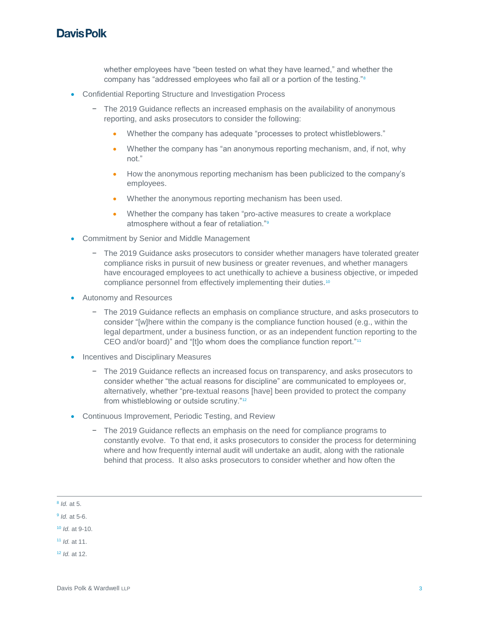#### **Davis Polk**

whether employees have "been tested on what they have learned," and whether the company has "addressed employees who fail all or a portion of the testing."<sup>8</sup>

- Confidential Reporting Structure and Investigation Process
	- − The 2019 Guidance reflects an increased emphasis on the availability of anonymous reporting, and asks prosecutors to consider the following:
		- Whether the company has adequate "processes to protect whistleblowers."
		- Whether the company has "an anonymous reporting mechanism, and, if not, why not."
		- How the anonymous reporting mechanism has been publicized to the company's employees.
		- Whether the anonymous reporting mechanism has been used.
		- Whether the company has taken "pro-active measures to create a workplace atmosphere without a fear of retaliation."<sup>9</sup>
- Commitment by Senior and Middle Management
	- − The 2019 Guidance asks prosecutors to consider whether managers have tolerated greater compliance risks in pursuit of new business or greater revenues, and whether managers have encouraged employees to act unethically to achieve a business objective, or impeded compliance personnel from effectively implementing their duties.<sup>10</sup>
- Autonomy and Resources
	- − The 2019 Guidance reflects an emphasis on compliance structure, and asks prosecutors to consider "[w]here within the company is the compliance function housed (e.g., within the legal department, under a business function, or as an independent function reporting to the CEO and/or board)" and "[t]o whom does the compliance function report."<sup>11</sup>
- Incentives and Disciplinary Measures
	- − The 2019 Guidance reflects an increased focus on transparency, and asks prosecutors to consider whether "the actual reasons for discipline" are communicated to employees or, alternatively, whether "pre-textual reasons [have] been provided to protect the company from whistleblowing or outside scrutiny."<sup>12</sup>
- Continuous Improvement, Periodic Testing, and Review
	- − The 2019 Guidance reflects an emphasis on the need for compliance programs to constantly evolve. To that end, it asks prosecutors to consider the process for determining where and how frequently internal audit will undertake an audit, along with the rationale behind that process. It also asks prosecutors to consider whether and how often the

<sup>8</sup> *Id.* at 5.

<sup>9</sup> *Id.* at 5-6.

<sup>10</sup> *Id.* at 9-10.

<sup>11</sup> *Id.* at 11.

<sup>12</sup> *Id.* at 12.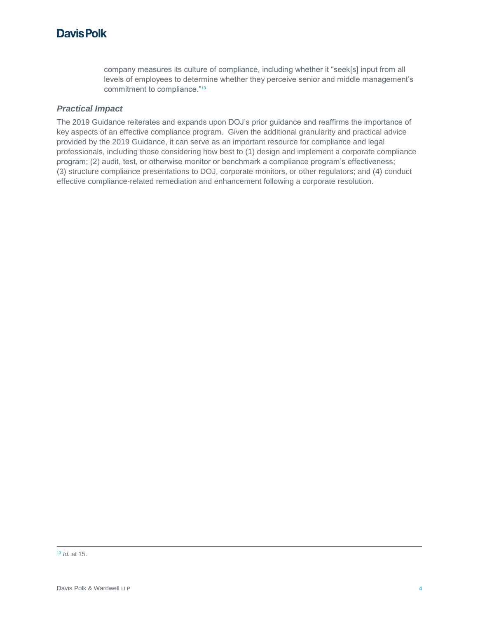company measures its culture of compliance, including whether it "seek[s] input from all levels of employees to determine whether they perceive senior and middle management's commitment to compliance."<sup>13</sup>

#### *Practical Impact*

The 2019 Guidance reiterates and expands upon DOJ's prior guidance and reaffirms the importance of key aspects of an effective compliance program. Given the additional granularity and practical advice provided by the 2019 Guidance, it can serve as an important resource for compliance and legal professionals, including those considering how best to (1) design and implement a corporate compliance program; (2) audit, test, or otherwise monitor or benchmark a compliance program's effectiveness; (3) structure compliance presentations to DOJ, corporate monitors, or other regulators; and (4) conduct effective compliance-related remediation and enhancement following a corporate resolution.